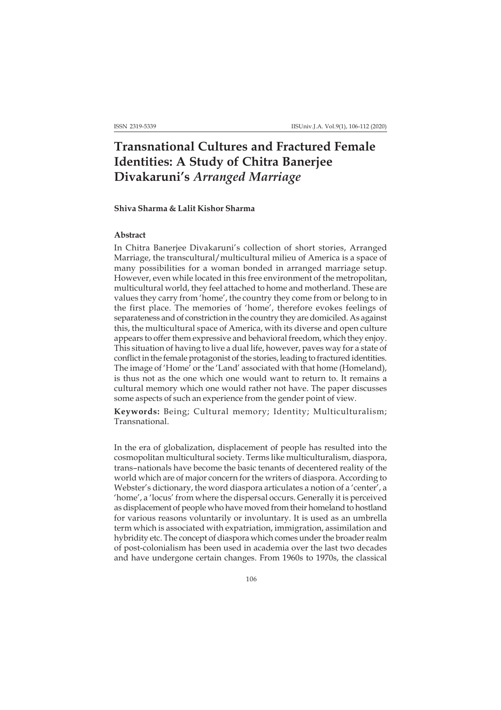# **Transnational Cultures and Fractured Female Identities: A Study of Chitra Banerjee Divakaruni's** *Arranged Marriage*

## **Shiva Sharma & Lalit Kishor Sharma**

## **Abstract**

In Chitra Banerjee Divakaruni's collection of short stories, Arranged Marriage, the transcultural/multicultural milieu of America is a space of many possibilities for a woman bonded in arranged marriage setup. However, even while located in this free environment of the metropolitan, multicultural world, they feel attached to home and motherland. These are values they carry from 'home', the country they come from or belong to in the first place. The memories of 'home', therefore evokes feelings of separateness and of constriction in the country they are domiciled. As against this, the multicultural space of America, with its diverse and open culture appears to offer them expressive and behavioral freedom, which they enjoy. This situation of having to live a dual life, however, paves way for a state of conflict in the female protagonist of the stories, leading to fractured identities. The image of 'Home' or the 'Land' associated with that home (Homeland), is thus not as the one which one would want to return to. It remains a cultural memory which one would rather not have. The paper discusses some aspects of such an experience from the gender point of view.

**Keywords:** Being; Cultural memory; Identity; Multiculturalism; Transnational.

In the era of globalization, displacement of people has resulted into the cosmopolitan multicultural society. Terms like multiculturalism, diaspora, trans–nationals have become the basic tenants of decentered reality of the world which are of major concern for the writers of diaspora. According to Webster's dictionary, the word diaspora articulates a notion of a 'center', a 'home', a 'locus' from where the dispersal occurs. Generally it is perceived as displacement of people who have moved from their homeland to hostland for various reasons voluntarily or involuntary. It is used as an umbrella term which is associated with expatriation, immigration, assimilation and hybridity etc. The concept of diaspora which comes under the broader realm of post-colonialism has been used in academia over the last two decades and have undergone certain changes. From 1960s to 1970s, the classical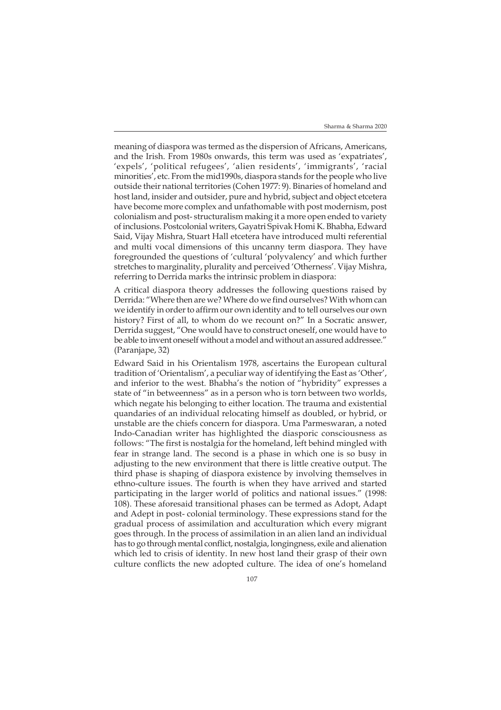meaning of diaspora was termed as the dispersion of Africans, Americans, and the Irish. From 1980s onwards, this term was used as 'expatriates', 'expels', 'political refugees', 'alien residents', 'immigrants', 'racial minorities', etc. From the mid1990s, diaspora stands for the people who live outside their national territories (Cohen 1977: 9). Binaries of homeland and host land, insider and outsider, pure and hybrid, subject and object etcetera have become more complex and unfathomable with post modernism, post colonialism and post- structuralism making it a more open ended to variety of inclusions. Postcolonial writers, Gayatri Spivak Homi K. Bhabha, Edward Said, Vijay Mishra, Stuart Hall etcetera have introduced multi referential and multi vocal dimensions of this uncanny term diaspora. They have foregrounded the questions of 'cultural 'polyvalency' and which further stretches to marginality, plurality and perceived 'Otherness'. Vijay Mishra, referring to Derrida marks the intrinsic problem in diaspora:

A critical diaspora theory addresses the following questions raised by Derrida: "Where then are we? Where do we find ourselves? With whom can we identify in order to affirm our own identity and to tell ourselves our own history? First of all, to whom do we recount on?" In a Socratic answer, Derrida suggest, "One would have to construct oneself, one would have to be able to invent oneself without a model and without an assured addressee." (Paranjape, 32)

Edward Said in his Orientalism 1978, ascertains the European cultural tradition of 'Orientalism', a peculiar way of identifying the East as 'Other', and inferior to the west. Bhabha's the notion of "hybridity" expresses a state of "in betweenness" as in a person who is torn between two worlds, which negate his belonging to either location. The trauma and existential quandaries of an individual relocating himself as doubled, or hybrid, or unstable are the chiefs concern for diaspora. Uma Parmeswaran, a noted Indo-Canadian writer has highlighted the diasporic consciousness as follows: "The first is nostalgia for the homeland, left behind mingled with fear in strange land. The second is a phase in which one is so busy in adjusting to the new environment that there is little creative output. The third phase is shaping of diaspora existence by involving themselves in ethno-culture issues. The fourth is when they have arrived and started participating in the larger world of politics and national issues." (1998: 108). These aforesaid transitional phases can be termed as Adopt, Adapt and Adept in post- colonial terminology. These expressions stand for the gradual process of assimilation and acculturation which every migrant goes through. In the process of assimilation in an alien land an individual has to go through mental conflict, nostalgia, longingness, exile and alienation which led to crisis of identity. In new host land their grasp of their own culture conflicts the new adopted culture. The idea of one's homeland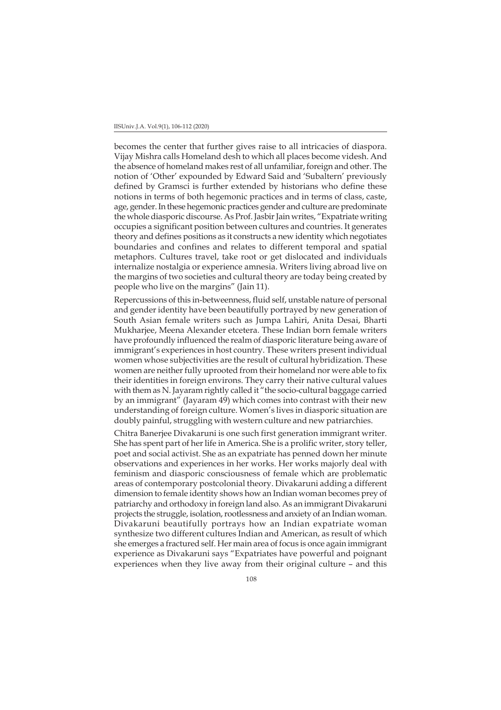#### IISUniv.J.A. Vol.9(1), 106-112 (2020)

becomes the center that further gives raise to all intricacies of diaspora. Vijay Mishra calls Homeland desh to which all places become videsh. And the absence of homeland makes rest of all unfamiliar, foreign and other. The notion of 'Other' expounded by Edward Said and 'Subaltern' previously defined by Gramsci is further extended by historians who define these notions in terms of both hegemonic practices and in terms of class, caste, age, gender. In these hegemonic practices gender and culture are predominate the whole diasporic discourse. As Prof. Jasbir Jain writes, "Expatriate writing occupies a significant position between cultures and countries. It generates theory and defines positions as it constructs a new identity which negotiates boundaries and confines and relates to different temporal and spatial metaphors. Cultures travel, take root or get dislocated and individuals internalize nostalgia or experience amnesia. Writers living abroad live on the margins of two societies and cultural theory are today being created by people who live on the margins" (Jain 11).

Repercussions of this in-betweenness, fluid self, unstable nature of personal and gender identity have been beautifully portrayed by new generation of South Asian female writers such as Jumpa Lahiri, Anita Desai, Bharti Mukharjee, Meena Alexander etcetera. These Indian born female writers have profoundly influenced the realm of diasporic literature being aware of immigrant's experiences in host country. These writers present individual women whose subjectivities are the result of cultural hybridization. These women are neither fully uprooted from their homeland nor were able to fix their identities in foreign environs. They carry their native cultural values with them as N. Jayaram rightly called it "the socio-cultural baggage carried by an immigrant" (Jayaram 49) which comes into contrast with their new understanding of foreign culture. Women's lives in diasporic situation are doubly painful, struggling with western culture and new patriarchies.

Chitra Banerjee Divakaruni is one such first generation immigrant writer. She has spent part of her life in America. She is a prolific writer, story teller, poet and social activist. She as an expatriate has penned down her minute observations and experiences in her works. Her works majorly deal with feminism and diasporic consciousness of female which are problematic areas of contemporary postcolonial theory. Divakaruni adding a different dimension to female identity shows how an Indian woman becomes prey of patriarchy and orthodoxy in foreign land also. As an immigrant Divakaruni projects the struggle, isolation, rootlessness and anxiety of an Indian woman. Divakaruni beautifully portrays how an Indian expatriate woman synthesize two different cultures Indian and American, as result of which she emerges a fractured self. Her main area of focus is once again immigrant experience as Divakaruni says "Expatriates have powerful and poignant experiences when they live away from their original culture – and this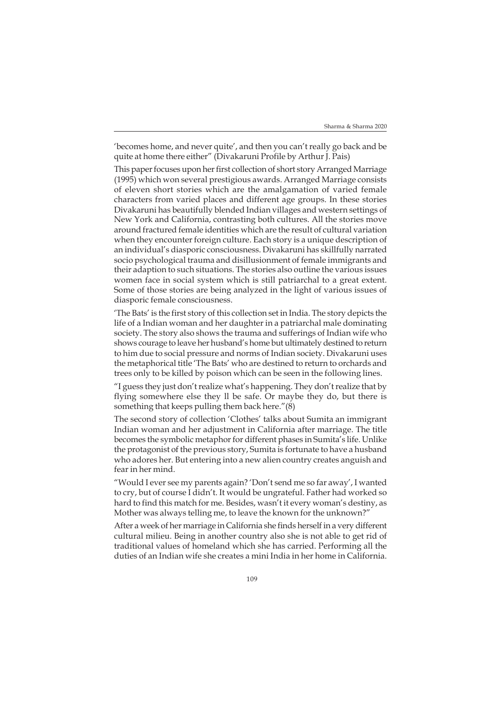'becomes home, and never quite', and then you can't really go back and be quite at home there either" (Divakaruni Profile by Arthur J. Pais)

This paper focuses upon her first collection of short story Arranged Marriage (1995) which won several prestigious awards. Arranged Marriage consists of eleven short stories which are the amalgamation of varied female characters from varied places and different age groups. In these stories Divakaruni has beautifully blended Indian villages and western settings of New York and California, contrasting both cultures. All the stories move around fractured female identities which are the result of cultural variation when they encounter foreign culture. Each story is a unique description of an individual's diasporic consciousness. Divakaruni has skillfully narrated socio psychological trauma and disillusionment of female immigrants and their adaption to such situations. The stories also outline the various issues women face in social system which is still patriarchal to a great extent. Some of those stories are being analyzed in the light of various issues of diasporic female consciousness.

'The Bats' is the first story of this collection set in India. The story depicts the life of a Indian woman and her daughter in a patriarchal male dominating society. The story also shows the trauma and sufferings of Indian wife who shows courage to leave her husband's home but ultimately destined to return to him due to social pressure and norms of Indian society. Divakaruni uses the metaphorical title 'The Bats' who are destined to return to orchards and trees only to be killed by poison which can be seen in the following lines.

"I guess they just don't realize what's happening. They don't realize that by flying somewhere else they ll be safe. Or maybe they do, but there is something that keeps pulling them back here."(8)

The second story of collection 'Clothes' talks about Sumita an immigrant Indian woman and her adjustment in California after marriage. The title becomes the symbolic metaphor for different phases in Sumita's life. Unlike the protagonist of the previous story, Sumita is fortunate to have a husband who adores her. But entering into a new alien country creates anguish and fear in her mind.

"Would I ever see my parents again? 'Don't send me so far away', I wanted to cry, but of course I didn't. It would be ungrateful. Father had worked so hard to find this match for me. Besides, wasn't it every woman's destiny, as Mother was always telling me, to leave the known for the unknown?"

After a week of her marriage in California she finds herself in a very different cultural milieu. Being in another country also she is not able to get rid of traditional values of homeland which she has carried. Performing all the duties of an Indian wife she creates a mini India in her home in California.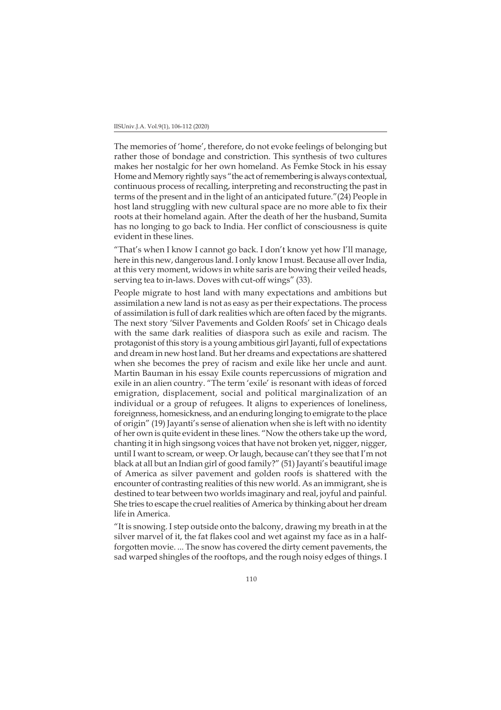#### IISUniv.J.A. Vol.9(1), 106-112 (2020)

The memories of 'home', therefore, do not evoke feelings of belonging but rather those of bondage and constriction. This synthesis of two cultures makes her nostalgic for her own homeland. As Femke Stock in his essay Home and Memory rightly says "the act of remembering is always contextual, continuous process of recalling, interpreting and reconstructing the past in terms of the present and in the light of an anticipated future."(24) People in host land struggling with new cultural space are no more able to fix their roots at their homeland again. After the death of her the husband, Sumita has no longing to go back to India. Her conflict of consciousness is quite evident in these lines.

"That's when I know I cannot go back. I don't know yet how I'll manage, here in this new, dangerous land. I only know I must. Because all over India, at this very moment, widows in white saris are bowing their veiled heads, serving tea to in-laws. Doves with cut-off wings" (33).

People migrate to host land with many expectations and ambitions but assimilation a new land is not as easy as per their expectations. The process of assimilation is full of dark realities which are often faced by the migrants. The next story 'Silver Pavements and Golden Roofs' set in Chicago deals with the same dark realities of diaspora such as exile and racism. The protagonist of this story is a young ambitious girl Jayanti, full of expectations and dream in new host land. But her dreams and expectations are shattered when she becomes the prey of racism and exile like her uncle and aunt. Martin Bauman in his essay Exile counts repercussions of migration and exile in an alien country. "The term 'exile' is resonant with ideas of forced emigration, displacement, social and political marginalization of an individual or a group of refugees. It aligns to experiences of loneliness, foreignness, homesickness, and an enduring longing to emigrate to the place of origin" (19) Jayanti's sense of alienation when she is left with no identity of her own is quite evident in these lines. "Now the others take up the word, chanting it in high singsong voices that have not broken yet, nigger, nigger, until I want to scream, or weep. Or laugh, because can't they see that I'm not black at all but an Indian girl of good family?" (51) Jayanti's beautiful image of America as silver pavement and golden roofs is shattered with the encounter of contrasting realities of this new world. As an immigrant, she is destined to tear between two worlds imaginary and real, joyful and painful. She tries to escape the cruel realities of America by thinking about her dream life in America.

"It is snowing. I step outside onto the balcony, drawing my breath in at the silver marvel of it, the fat flakes cool and wet against my face as in a halfforgotten movie. ... The snow has covered the dirty cement pavements, the sad warped shingles of the rooftops, and the rough noisy edges of things. I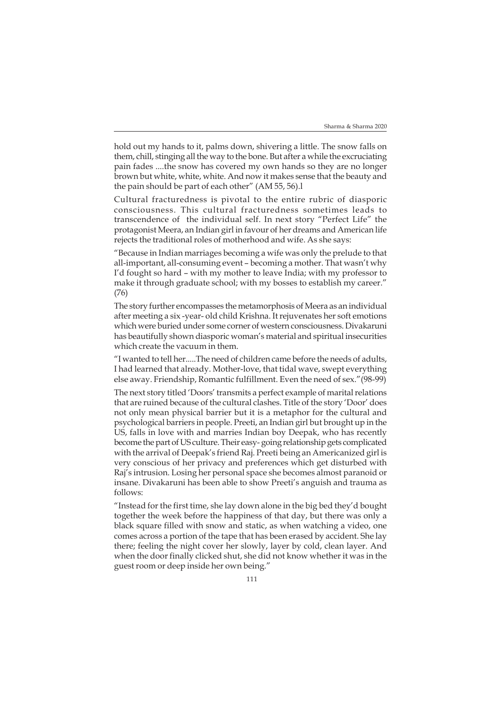hold out my hands to it, palms down, shivering a little. The snow falls on them, chill, stinging all the way to the bone. But after a while the excruciating pain fades ....the snow has covered my own hands so they are no longer brown but white, white, white. And now it makes sense that the beauty and the pain should be part of each other" (AM 55, 56).l

Cultural fracturedness is pivotal to the entire rubric of diasporic consciousness. This cultural fracturedness sometimes leads to transcendence of the individual self. In next story "Perfect Life" the protagonist Meera, an Indian girl in favour of her dreams and American life rejects the traditional roles of motherhood and wife. As she says:

"Because in Indian marriages becoming a wife was only the prelude to that all-important, all-consuming event – becoming a mother. That wasn't why I'd fought so hard – with my mother to leave India; with my professor to make it through graduate school; with my bosses to establish my career." (76)

The story further encompasses the metamorphosis of Meera as an individual after meeting a six -year- old child Krishna. It rejuvenates her soft emotions which were buried under some corner of western consciousness. Divakaruni has beautifully shown diasporic woman's material and spiritual insecurities which create the vacuum in them.

"I wanted to tell her.....The need of children came before the needs of adults, I had learned that already. Mother-love, that tidal wave, swept everything else away. Friendship, Romantic fulfillment. Even the need of sex."(98-99)

The next story titled 'Doors' transmits a perfect example of marital relations that are ruined because of the cultural clashes. Title of the story 'Door' does not only mean physical barrier but it is a metaphor for the cultural and psychological barriers in people. Preeti, an Indian girl but brought up in the US, falls in love with and marries Indian boy Deepak, who has recently become the part of US culture. Their easy- going relationship gets complicated with the arrival of Deepak's friend Raj. Preeti being an Americanized girl is very conscious of her privacy and preferences which get disturbed with Raj's intrusion. Losing her personal space she becomes almost paranoid or insane. Divakaruni has been able to show Preeti's anguish and trauma as follows:

"Instead for the first time, she lay down alone in the big bed they'd bought together the week before the happiness of that day, but there was only a black square filled with snow and static, as when watching a video, one comes across a portion of the tape that has been erased by accident. She lay there; feeling the night cover her slowly, layer by cold, clean layer. And when the door finally clicked shut, she did not know whether it was in the guest room or deep inside her own being."